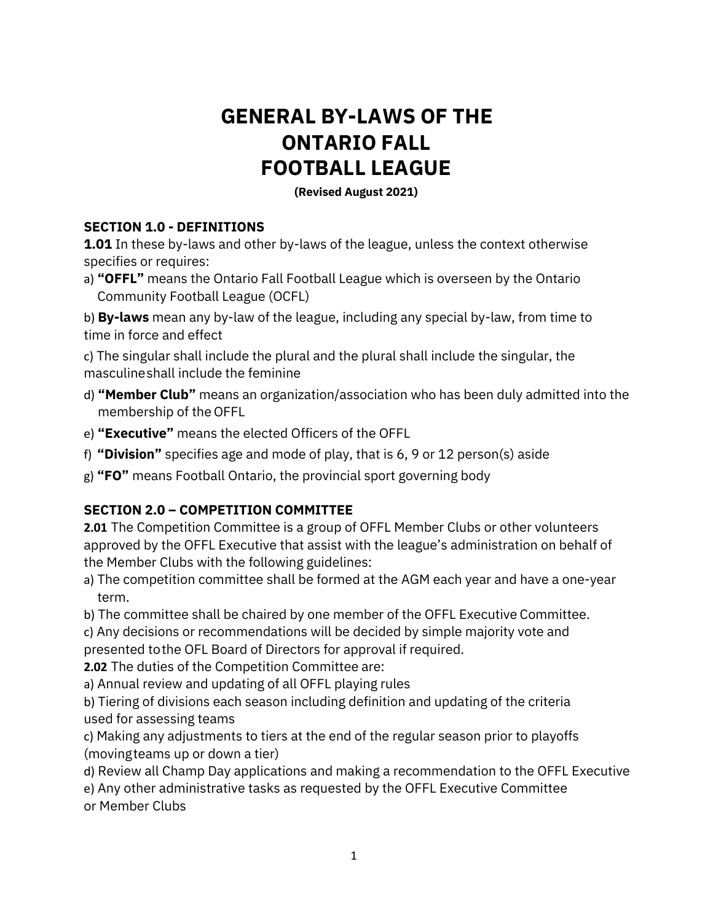# **GENERAL BY-LAWS OF THE ONTARIO FALL FOOTBALL LEAGUE**

**(Revised August 2021)** 

#### **SECTION 1.0 - DEFINITIONS**

**1.01** In these by-laws and other by-laws of the league, unless the context otherwise specifies or requires:

a) **"OFFL"** means the Ontario Fall Football League which is overseen by the Ontario Community Football League (OCFL)

b) **By-laws** mean any by-law of the league, including any special by-law, from time to time in force and effect

c) The singular shall include the plural and the plural shall include the singular, the masculine shall include the feminine

- d) **"Member Club"** means an organization/association who has been duly admitted into the membership of the OFFL
- e) **"Executive"** means the elected Officers of the OFFL
- f) **"Division"** specifies age and mode of play, that is 6, 9 or 12 person(s) aside
- g) **"FO"** means Football Ontario, the provincial sport governing body

## **SECTION 2.0 – COMPETITION COMMITTEE**

**2.01** The Competition Committee is a group of OFFL Member Clubs or other volunteers approved by the OFFL Executive that assist with the league's administration on behalf of the Member Clubs with the following guidelines:

- a) The competition committee shall be formed at the AGM each year and have a one-year term.
- b) The committee shall be chaired by one member of the OFFL Executive Committee.
- c) Any decisions or recommendations will be decided by simple majority vote and
- presented to the OFL Board of Directors for approval if required.

**2.02** The duties of the Competition Committee are:

a) Annual review and updating of all OFFL playing rules

b) Tiering of divisions each season including definition and updating of the criteria used for assessing teams

c) Making any adjustments to tiers at the end of the regular season prior to playoffs (moving teams up or down a tier)

d) Review all Champ Day applications and making a recommendation to the OFFL Executive

e) Any other administrative tasks as requested by the OFFL Executive Committee

or Member Clubs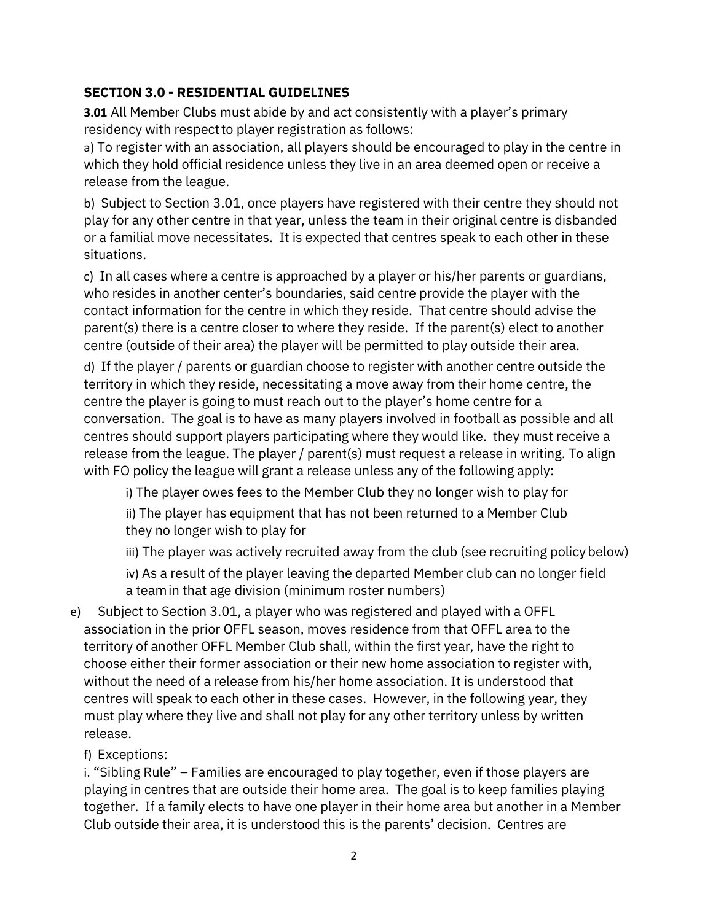# **SECTION 3.0 - RESIDENTIAL GUIDELINES**

**3.01** All Member Clubs must abide by and act consistently with a player's primary residency with respect to player registration as follows:

a) To register with an association, all players should be encouraged to play in the centre in which they hold official residence unless they live in an area deemed open or receive a release from the league.

b) Subject to Section 3.01, once players have registered with their centre they should not play for any other centre in that year, unless the team in their original centre is disbanded or a familial move necessitates. It is expected that centres speak to each other in these situations.

c) In all cases where a centre is approached by a player or his/her parents or guardians, who resides in another center's boundaries, said centre provide the player with the contact information for the centre in which they reside. That centre should advise the parent(s) there is a centre closer to where they reside. If the parent(s) elect to another centre (outside of their area) the player will be permitted to play outside their area.

d) If the player / parents or guardian choose to register with another centre outside the territory in which they reside, necessitating a move away from their home centre, the centre the player is going to must reach out to the player's home centre for a conversation. The goal is to have as many players involved in football as possible and all centres should support players participating where they would like. they must receive a release from the league. The player / parent(s) must request a release in writing. To align with FO policy the league will grant a release unless any of the following apply:

i) The player owes fees to the Member Club they no longer wish to play for

ii) The player has equipment that has not been returned to a Member Club they no longer wish to play for

iii) The player was actively recruited away from the club (see recruiting policy below)

iv) As a result of the player leaving the departed Member club can no longer field a team in that age division (minimum roster numbers)

e) Subject to Section 3.01, a player who was registered and played with a OFFL association in the prior OFFL season, moves residence from that OFFL area to the territory of another OFFL Member Club shall, within the first year, have the right to choose either their former association or their new home association to register with, without the need of a release from his/her home association. It is understood that centres will speak to each other in these cases. However, in the following year, they must play where they live and shall not play for any other territory unless by written release.

f) Exceptions:

i. "Sibling Rule" – Families are encouraged to play together, even if those players are playing in centres that are outside their home area. The goal is to keep families playing together. If a family elects to have one player in their home area but another in a Member Club outside their area, it is understood this is the parents' decision. Centres are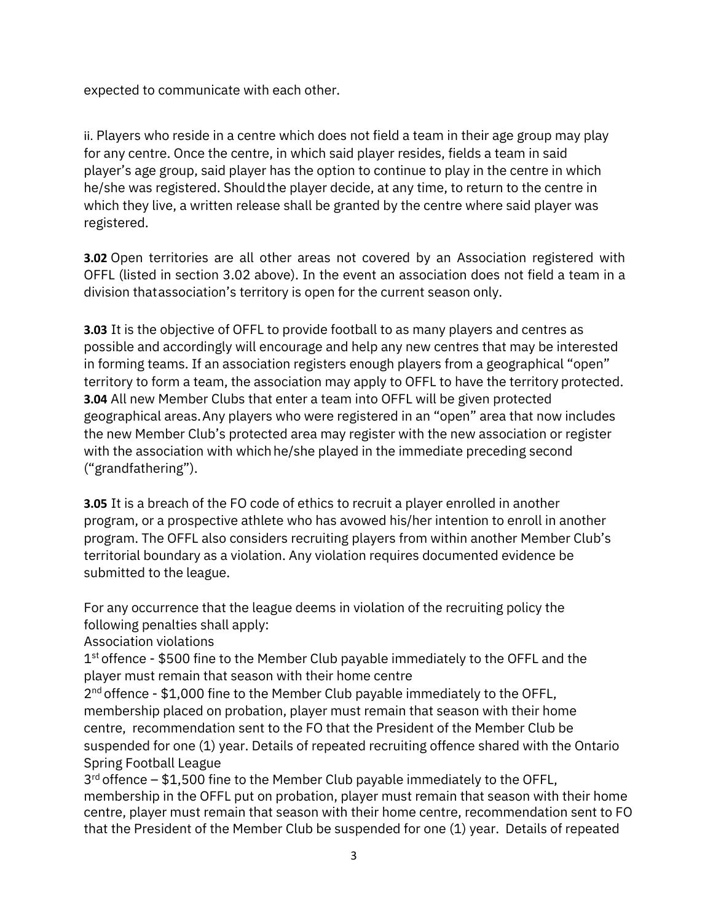expected to communicate with each other.

ii. Players who reside in a centre which does not field a team in their age group may play for any centre. Once the centre, in which said player resides, fields a team in said player's age group, said player has the option to continue to play in the centre in which he/she was registered. Should the player decide, at any time, to return to the centre in which they live, a written release shall be granted by the centre where said player was registered.

**3.02** Open territories are all other areas not covered by an Association registered with OFFL (listed in section 3.02 above). In the event an association does not field a team in a division that association's territory is open for the current season only.

**3.03** It is the objective of OFFL to provide football to as many players and centres as possible and accordingly will encourage and help any new centres that may be interested in forming teams. If an association registers enough players from a geographical "open" territory to form a team, the association may apply to OFFL to have the territory protected. **3.04** All new Member Clubs that enter a team into OFFL will be given protected geographical areas. Any players who were registered in an "open" area that now includes the new Member Club's protected area may register with the new association or register with the association with which he/she played in the immediate preceding second ("grandfathering").

**3.05** It is a breach of the FO code of ethics to recruit a player enrolled in another program, or a prospective athlete who has avowed his/her intention to enroll in another program. The OFFL also considers recruiting players from within another Member Club's territorial boundary as a violation. Any violation requires documented evidence be submitted to the league.

For any occurrence that the league deems in violation of the recruiting policy the following penalties shall apply:

Association violations

 $1<sup>st</sup>$  offence - \$500 fine to the Member Club payable immediately to the OFFL and the player must remain that season with their home centre

2<sup>nd</sup> offence - \$1,000 fine to the Member Club payable immediately to the OFFL, membership placed on probation, player must remain that season with their home centre, recommendation sent to the FO that the President of the Member Club be suspended for one (1) year. Details of repeated recruiting offence shared with the Ontario Spring Football League

 $3<sup>rd</sup>$  offence – \$1,500 fine to the Member Club payable immediately to the OFFL, membership in the OFFL put on probation, player must remain that season with their home centre, player must remain that season with their home centre, recommendation sent to FO that the President of the Member Club be suspended for one (1) year. Details of repeated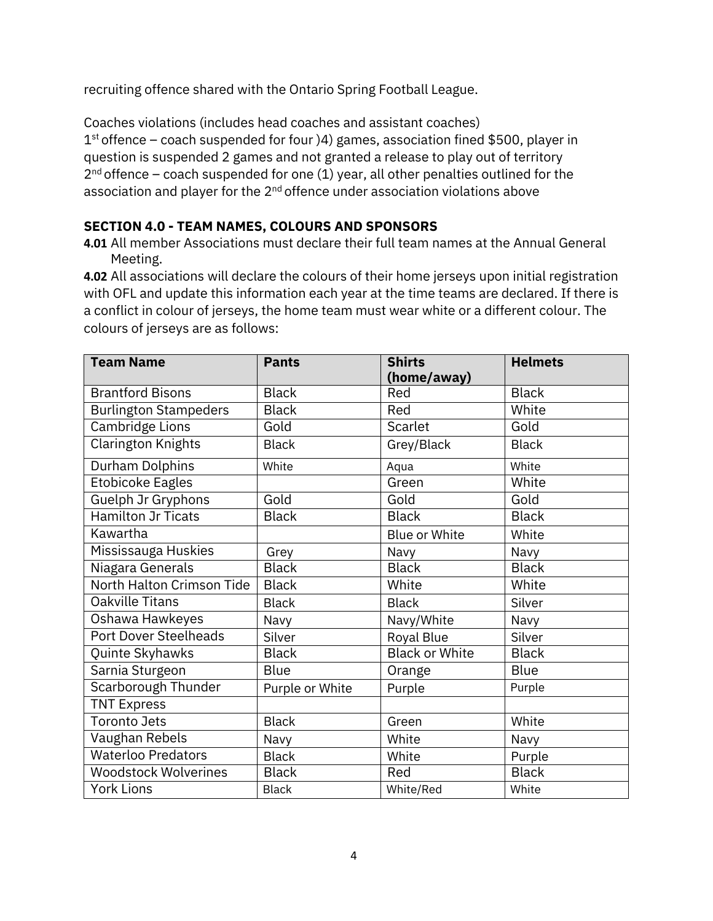recruiting offence shared with the Ontario Spring Football League.

Coaches violations (includes head coaches and assistant coaches)  $1<sup>st</sup>$  offence – coach suspended for four  $)4$ ) games, association fined \$500, player in question is suspended 2 games and not granted a release to play out of territory  $2<sup>nd</sup>$  offence – coach suspended for one (1) year, all other penalties outlined for the association and player for the  $2<sup>nd</sup>$  offence under association violations above

#### **SECTION 4.0 - TEAM NAMES, COLOURS AND SPONSORS**

**4.01** All member Associations must declare their full team names at the Annual General Meeting.

**4.02** All associations will declare the colours of their home jerseys upon initial registration with OFL and update this information each year at the time teams are declared. If there is a conflict in colour of jerseys, the home team must wear white or a different colour. The colours of jerseys are as follows:

| <b>Team Name</b>             | <b>Pants</b>    | <b>Shirts</b><br>(home/away) | <b>Helmets</b> |
|------------------------------|-----------------|------------------------------|----------------|
| <b>Brantford Bisons</b>      | <b>Black</b>    | Red                          | <b>Black</b>   |
|                              | <b>Black</b>    | Red                          | White          |
| <b>Burlington Stampeders</b> |                 |                              |                |
| Cambridge Lions              | Gold            | Scarlet                      | Gold           |
| <b>Clarington Knights</b>    | <b>Black</b>    | Grey/Black                   | <b>Black</b>   |
| <b>Durham Dolphins</b>       | White           | Aqua                         | White          |
| <b>Etobicoke Eagles</b>      |                 | Green                        | White          |
| Guelph Jr Gryphons           | Gold            | Gold                         | Gold           |
| <b>Hamilton Jr Ticats</b>    | <b>Black</b>    | <b>Black</b>                 | <b>Black</b>   |
| Kawartha                     |                 | Blue or White                | White          |
| Mississauga Huskies          | Grey            | Navy                         | Navy           |
| Niagara Generals             | <b>Black</b>    | <b>Black</b>                 | <b>Black</b>   |
| North Halton Crimson Tide    | <b>Black</b>    | White                        | White          |
| <b>Oakville Titans</b>       | <b>Black</b>    | <b>Black</b>                 | Silver         |
| Oshawa Hawkeyes              | Navy            | Navy/White                   | Navy           |
| <b>Port Dover Steelheads</b> | Silver          | Royal Blue                   | Silver         |
| Quinte Skyhawks              | <b>Black</b>    | <b>Black or White</b>        | <b>Black</b>   |
| Sarnia Sturgeon              | <b>Blue</b>     | Orange                       | <b>Blue</b>    |
| Scarborough Thunder          | Purple or White | Purple                       | Purple         |
| <b>TNT Express</b>           |                 |                              |                |
| <b>Toronto Jets</b>          | <b>Black</b>    | Green                        | White          |
| Vaughan Rebels               | Navy            | White                        | Navy           |
| <b>Waterloo Predators</b>    | <b>Black</b>    | White                        | Purple         |
| <b>Woodstock Wolverines</b>  | <b>Black</b>    | Red                          | <b>Black</b>   |
| <b>York Lions</b>            | <b>Black</b>    | White/Red                    | White          |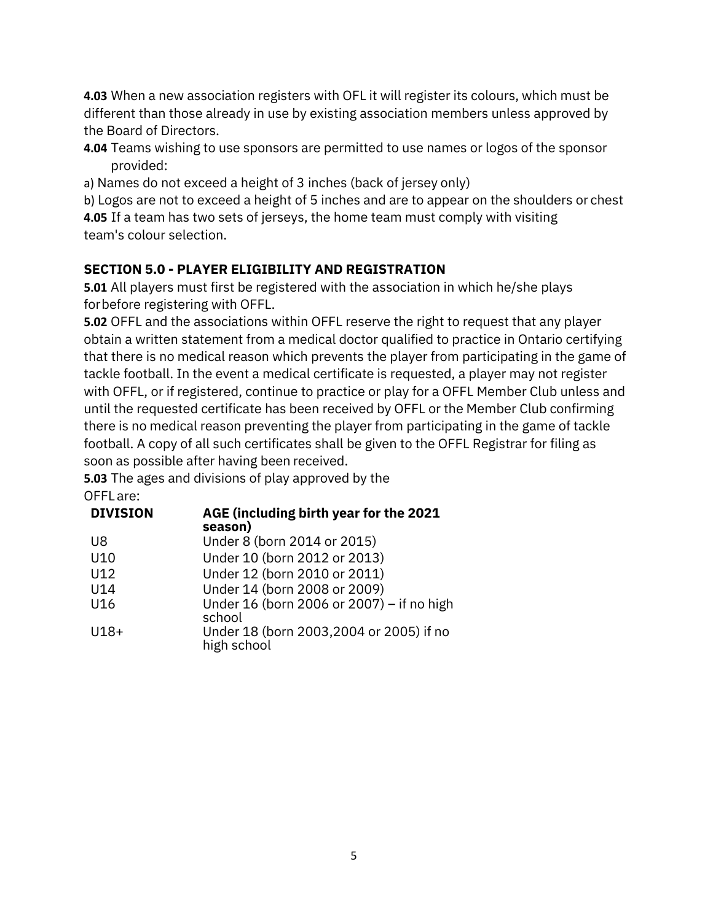**4.03** When a new association registers with OFL it will register its colours, which must be different than those already in use by existing association members unless approved by the Board of Directors.

- **4.04** Teams wishing to use sponsors are permitted to use names or logos of the sponsor provided:
- a) Names do not exceed a height of 3 inches (back of jersey only)

b) Logos are not to exceed a height of 5 inches and are to appear on the shoulders or chest **4.05** If a team has two sets of jerseys, the home team must comply with visiting team's colour selection.

## **SECTION 5.0 - PLAYER ELIGIBILITY AND REGISTRATION**

**5.01** All players must first be registered with the association in which he/she plays for before registering with OFFL.

**5.02** OFFL and the associations within OFFL reserve the right to request that any player obtain a written statement from a medical doctor qualified to practice in Ontario certifying that there is no medical reason which prevents the player from participating in the game of tackle football. In the event a medical certificate is requested, a player may not register with OFFL, or if registered, continue to practice or play for a OFFL Member Club unless and until the requested certificate has been received by OFFL or the Member Club confirming there is no medical reason preventing the player from participating in the game of tackle football. A copy of all such certificates shall be given to the OFFL Registrar for filing as soon as possible after having been received.

**5.03** The ages and divisions of play approved by the OFFL are:

| AGE (including birth year for the 2021<br>season)       |
|---------------------------------------------------------|
| Under 8 (born 2014 or 2015)                             |
| Under 10 (born 2012 or 2013)                            |
| Under 12 (born 2010 or 2011)                            |
| Under 14 (born 2008 or 2009)                            |
| Under 16 (born 2006 or 2007) – if no high<br>school     |
| Under 18 (born 2003, 2004 or 2005) if no<br>high school |
|                                                         |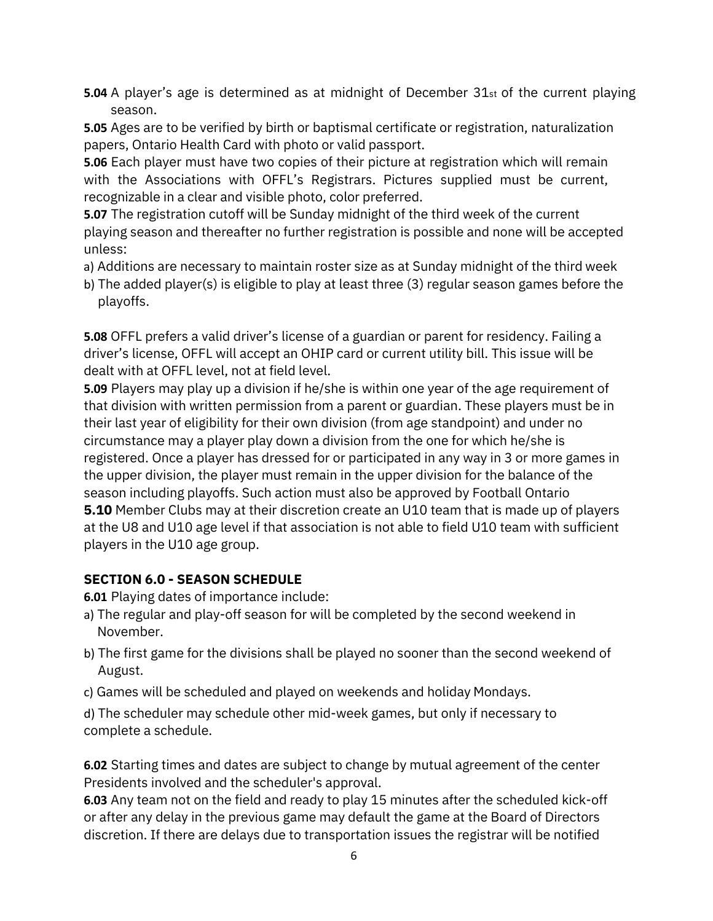**5.04** A player's age is determined as at midnight of December 31st of the current playing season.

**5.05** Ages are to be verified by birth or baptismal certificate or registration, naturalization papers, Ontario Health Card with photo or valid passport.

**5.06** Each player must have two copies of their picture at registration which will remain with the Associations with OFFL's Registrars. Pictures supplied must be current, recognizable in a clear and visible photo, color preferred.

**5.07** The registration cutoff will be Sunday midnight of the third week of the current playing season and thereafter no further registration is possible and none will be accepted unless:

- a) Additions are necessary to maintain roster size as at Sunday midnight of the third week
- b) The added player(s) is eligible to play at least three (3) regular season games before the playoffs.

**5.08** OFFL prefers a valid driver's license of a guardian or parent for residency. Failing a driver's license, OFFL will accept an OHIP card or current utility bill. This issue will be dealt with at OFFL level, not at field level.

**5.09** Players may play up a division if he/she is within one year of the age requirement of that division with written permission from a parent or guardian. These players must be in their last year of eligibility for their own division (from age standpoint) and under no circumstance may a player play down a division from the one for which he/she is registered. Once a player has dressed for or participated in any way in 3 or more games in the upper division, the player must remain in the upper division for the balance of the season including playoffs. Such action must also be approved by Football Ontario **5.10** Member Clubs may at their discretion create an U10 team that is made up of players at the U8 and U10 age level if that association is not able to field U10 team with sufficient players in the U10 age group.

## **SECTION 6.0 - SEASON SCHEDULE**

**6.01** Playing dates of importance include:

- a) The regular and play-off season for will be completed by the second weekend in November.
- b) The first game for the divisions shall be played no sooner than the second weekend of August.
- c) Games will be scheduled and played on weekends and holiday Mondays.

d) The scheduler may schedule other mid-week games, but only if necessary to complete a schedule.

**6.02** Starting times and dates are subject to change by mutual agreement of the center Presidents involved and the scheduler's approval.

**6.03** Any team not on the field and ready to play 15 minutes after the scheduled kick-off or after any delay in the previous game may default the game at the Board of Directors discretion. If there are delays due to transportation issues the registrar will be notified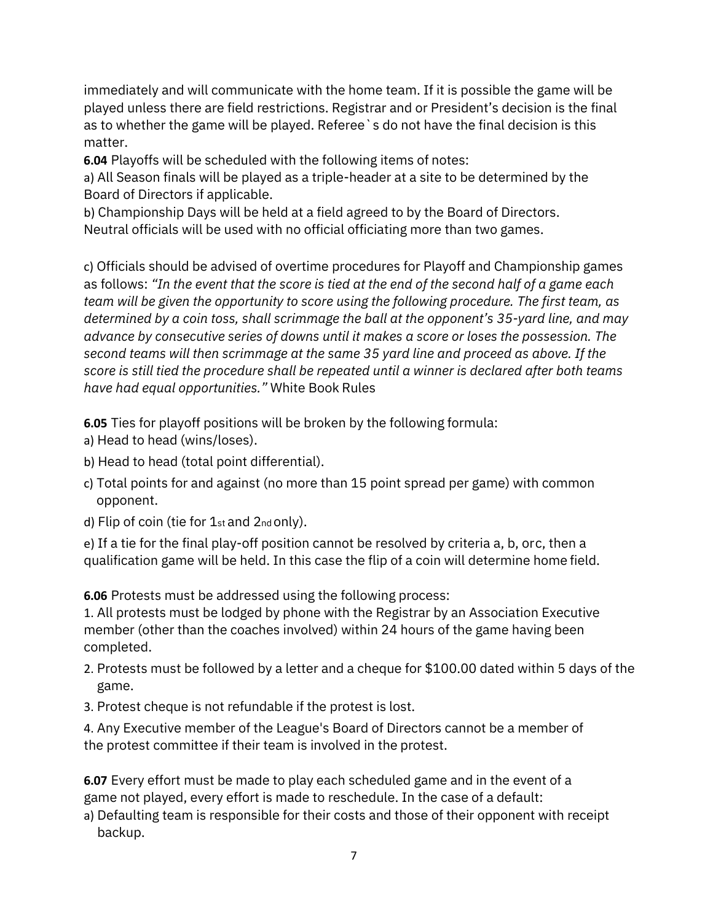immediately and will communicate with the home team. If it is possible the game will be played unless there are field restrictions. Registrar and or President's decision is the final as to whether the game will be played. Referee`s do not have the final decision is this matter.

**6.04** Playoffs will be scheduled with the following items of notes:

a) All Season finals will be played as a triple-header at a site to be determined by the Board of Directors if applicable.

b) Championship Days will be held at a field agreed to by the Board of Directors. Neutral officials will be used with no official officiating more than two games.

c) Officials should be advised of overtime procedures for Playoff and Championship games as follows: *"In the event that the score is tied at the end of the second half of a game each team will be given the opportunity to score using the following procedure. The first team, as determined by a coin toss, shall scrimmage the ball at the opponent's 35-yard line, and may advance by consecutive series of downs until it makes a score or loses the possession. The second teams will then scrimmage at the same 35 yard line and proceed as above. If the score is still tied the procedure shall be repeated until a winner is declared after both teams have had equal opportunities."* White Book Rules

**6.05** Ties for playoff positions will be broken by the following formula:

- a) Head to head (wins/loses).
- b) Head to head (total point differential).
- c) Total points for and against (no more than 15 point spread per game) with common opponent.
- d) Flip of coin (tie for 1st and 2nd only).

e) If a tie for the final play-off position cannot be resolved by criteria a, b, orc, then a qualification game will be held. In this case the flip of a coin will determine home field.

**6.06** Protests must be addressed using the following process:

1. All protests must be lodged by phone with the Registrar by an Association Executive member (other than the coaches involved) within 24 hours of the game having been completed.

- 2. Protests must be followed by a letter and a cheque for \$100.00 dated within 5 days of the game.
- 3. Protest cheque is not refundable if the protest is lost.

4. Any Executive member of the League's Board of Directors cannot be a member of the protest committee if their team is involved in the protest.

**6.07** Every effort must be made to play each scheduled game and in the event of a game not played, every effort is made to reschedule. In the case of a default:

a) Defaulting team is responsible for their costs and those of their opponent with receipt backup.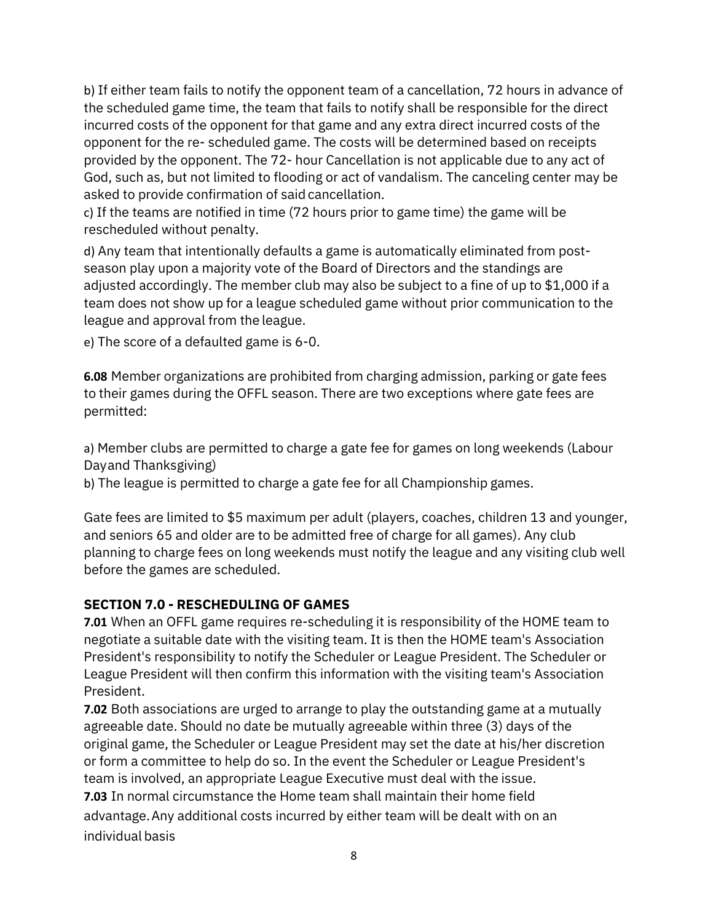b) If either team fails to notify the opponent team of a cancellation, 72 hours in advance of the scheduled game time, the team that fails to notify shall be responsible for the direct incurred costs of the opponent for that game and any extra direct incurred costs of the opponent for the re- scheduled game. The costs will be determined based on receipts provided by the opponent. The 72- hour Cancellation is not applicable due to any act of God, such as, but not limited to flooding or act of vandalism. The canceling center may be asked to provide confirmation of said cancellation.

c) If the teams are notified in time (72 hours prior to game time) the game will be rescheduled without penalty.

d) Any team that intentionally defaults a game is automatically eliminated from postseason play upon a majority vote of the Board of Directors and the standings are adjusted accordingly. The member club may also be subject to a fine of up to \$1,000 if a team does not show up for a league scheduled game without prior communication to the league and approval from the league.

e) The score of a defaulted game is 6-0.

**6.08** Member organizations are prohibited from charging admission, parking or gate fees to their games during the OFFL season. There are two exceptions where gate fees are permitted:

a) Member clubs are permitted to charge a gate fee for games on long weekends (Labour Day and Thanksgiving)

b) The league is permitted to charge a gate fee for all Championship games.

Gate fees are limited to \$5 maximum per adult (players, coaches, children 13 and younger, and seniors 65 and older are to be admitted free of charge for all games). Any club planning to charge fees on long weekends must notify the league and any visiting club well before the games are scheduled.

## **SECTION 7.0 - RESCHEDULING OF GAMES**

**7.01** When an OFFL game requires re-scheduling it is responsibility of the HOME team to negotiate a suitable date with the visiting team. It is then the HOME team's Association President's responsibility to notify the Scheduler or League President. The Scheduler or League President will then confirm this information with the visiting team's Association President.

**7.02** Both associations are urged to arrange to play the outstanding game at a mutually agreeable date. Should no date be mutually agreeable within three (3) days of the original game, the Scheduler or League President may set the date at his/her discretion or form a committee to help do so. In the event the Scheduler or League President's team is involved, an appropriate League Executive must deal with the issue. **7.03** In normal circumstance the Home team shall maintain their home field advantage. Any additional costs incurred by either team will be dealt with on an individual basis